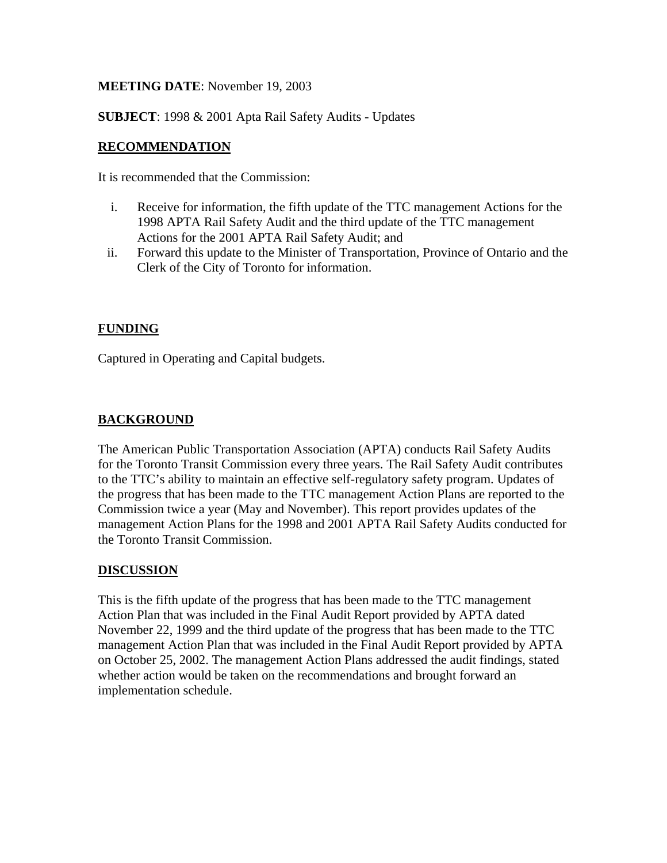# **MEETING DATE**: November 19, 2003

**SUBJECT**: 1998 & 2001 Apta Rail Safety Audits - Updates

# **RECOMMENDATION**

It is recommended that the Commission:

- i. Receive for information, the fifth update of the TTC management Actions for the 1998 APTA Rail Safety Audit and the third update of the TTC management Actions for the 2001 APTA Rail Safety Audit; and
- ii. Forward this update to the Minister of Transportation, Province of Ontario and the Clerk of the City of Toronto for information.

## **FUNDING**

Captured in Operating and Capital budgets.

## **BACKGROUND**

The American Public Transportation Association (APTA) conducts Rail Safety Audits for the Toronto Transit Commission every three years. The Rail Safety Audit contributes to the TTC's ability to maintain an effective self-regulatory safety program. Updates of the progress that has been made to the TTC management Action Plans are reported to the Commission twice a year (May and November). This report provides updates of the management Action Plans for the 1998 and 2001 APTA Rail Safety Audits conducted for the Toronto Transit Commission.

#### **DISCUSSION**

This is the fifth update of the progress that has been made to the TTC management Action Plan that was included in the Final Audit Report provided by APTA dated November 22, 1999 and the third update of the progress that has been made to the TTC management Action Plan that was included in the Final Audit Report provided by APTA on October 25, 2002. The management Action Plans addressed the audit findings, stated whether action would be taken on the recommendations and brought forward an implementation schedule.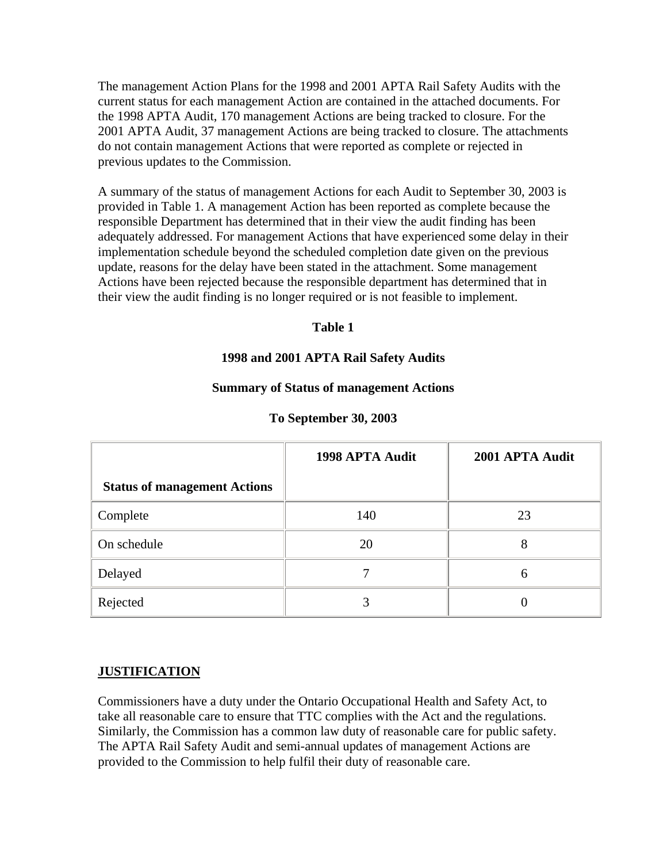The management Action Plans for the 1998 and 2001 APTA Rail Safety Audits with the current status for each management Action are contained in the attached documents. For the 1998 APTA Audit, 170 management Actions are being tracked to closure. For the 2001 APTA Audit, 37 management Actions are being tracked to closure. The attachments do not contain management Actions that were reported as complete or rejected in previous updates to the Commission.

A summary of the status of management Actions for each Audit to September 30, 2003 is provided in Table 1. A management Action has been reported as complete because the responsible Department has determined that in their view the audit finding has been adequately addressed. For management Actions that have experienced some delay in their implementation schedule beyond the scheduled completion date given on the previous update, reasons for the delay have been stated in the attachment. Some management Actions have been rejected because the responsible department has determined that in their view the audit finding is no longer required or is not feasible to implement.

## **Table 1**

## **1998 and 2001 APTA Rail Safety Audits**

#### **Summary of Status of management Actions**

|                                     | 1998 APTA Audit | 2001 APTA Audit |
|-------------------------------------|-----------------|-----------------|
| <b>Status of management Actions</b> |                 |                 |
| Complete                            | 140             | 23              |
| On schedule                         | 20              | 8               |
| Delayed                             |                 | h               |
| Rejected                            |                 |                 |

#### **To September 30, 2003**

#### **JUSTIFICATION**

Commissioners have a duty under the Ontario Occupational Health and Safety Act, to take all reasonable care to ensure that TTC complies with the Act and the regulations. Similarly, the Commission has a common law duty of reasonable care for public safety. The APTA Rail Safety Audit and semi-annual updates of management Actions are provided to the Commission to help fulfil their duty of reasonable care.